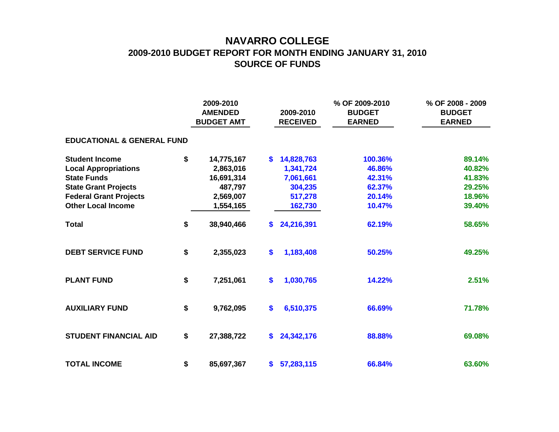## **NAVARRO COLLEGE 2009-2010 BUDGET REPORT FOR MONTH ENDING JANUARY 31, 2010 SOURCE OF FUNDS**

|                                       |    | 2009-2010<br><b>AMENDED</b><br><b>BUDGET AMT</b> |     | 2009-2010<br><b>RECEIVED</b> | % OF 2009-2010<br><b>BUDGET</b><br><b>EARNED</b> | % OF 2008 - 2009<br><b>BUDGET</b><br><b>EARNED</b> |
|---------------------------------------|----|--------------------------------------------------|-----|------------------------------|--------------------------------------------------|----------------------------------------------------|
| <b>EDUCATIONAL &amp; GENERAL FUND</b> |    |                                                  |     |                              |                                                  |                                                    |
| <b>Student Income</b>                 | \$ | 14,775,167                                       | S.  | 14,828,763                   | 100.36%                                          | 89.14%                                             |
| <b>Local Appropriations</b>           |    | 2,863,016                                        |     | 1,341,724                    | 46.86%                                           | 40.82%                                             |
| <b>State Funds</b>                    |    | 16,691,314                                       |     | 7,061,661                    | 42.31%                                           | 41.83%                                             |
| <b>State Grant Projects</b>           |    | 487,797                                          |     | 304,235                      | 62.37%                                           | 29.25%                                             |
| <b>Federal Grant Projects</b>         |    | 2,569,007                                        |     | 517,278                      | 20.14%                                           | 18.96%                                             |
| <b>Other Local Income</b>             |    | 1,554,165                                        |     | 162,730                      | 10.47%                                           | 39.40%                                             |
| <b>Total</b>                          | \$ | 38,940,466                                       | \$. | 24,216,391                   | 62.19%                                           | 58.65%                                             |
| <b>DEBT SERVICE FUND</b>              | \$ | 2,355,023                                        | \$  | 1,183,408                    | 50.25%                                           | 49.25%                                             |
| <b>PLANT FUND</b>                     | \$ | 7,251,061                                        | \$  | 1,030,765                    | 14.22%                                           | 2.51%                                              |
| <b>AUXILIARY FUND</b>                 | \$ | 9,762,095                                        | \$  | 6,510,375                    | 66.69%                                           | 71.78%                                             |
| <b>STUDENT FINANCIAL AID</b>          | \$ | 27,388,722                                       | \$  | 24,342,176                   | 88.88%                                           | 69.08%                                             |
| <b>TOTAL INCOME</b>                   | \$ | 85,697,367                                       |     | \$57,283,115                 | 66.84%                                           | 63.60%                                             |